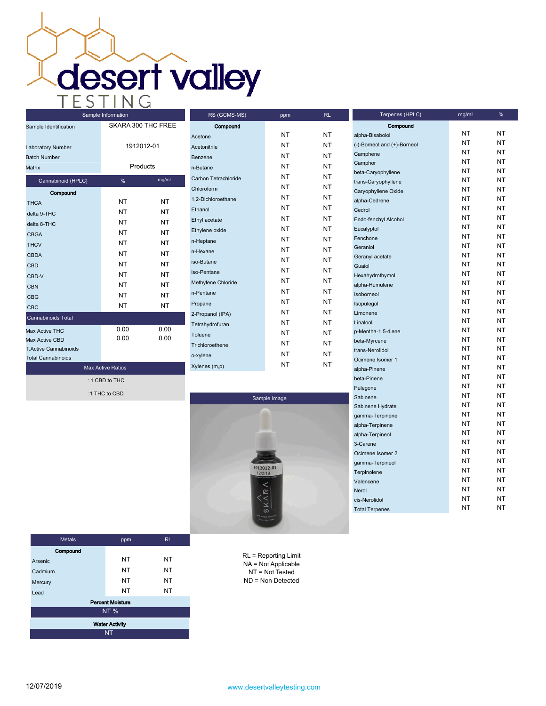**desert valley** 

| Sample Identification        | SKARA 300 THC FREE |           |  |  |
|------------------------------|--------------------|-----------|--|--|
| Laboratory Number            | 1912012-01         |           |  |  |
| <b>Batch Number</b>          |                    |           |  |  |
| Matrix                       | Products           |           |  |  |
| Cannabinoid (HPLC)           | %                  | mg/mL     |  |  |
| Compound                     |                    |           |  |  |
| <b>THCA</b>                  | NT                 | NT        |  |  |
| delta 9-THC                  | <b>NT</b>          | <b>NT</b> |  |  |
| delta 8-THC                  | NT                 | NT        |  |  |
| <b>CBGA</b>                  | <b>NT</b>          | NT        |  |  |
| <b>THCV</b>                  | NT                 | NT        |  |  |
| CBDA                         | NT                 | NT        |  |  |
| <b>CBD</b>                   | NT                 | NT        |  |  |
| CBD-V                        | <b>NT</b>          | <b>NT</b> |  |  |
| <b>CBN</b>                   | NT                 | <b>NT</b> |  |  |
| <b>CBG</b>                   | NT                 | NT        |  |  |
| <b>CBC</b>                   | NT                 | NT        |  |  |
| <b>Cannabinoids Total</b>    |                    |           |  |  |
| <b>Max Active THC</b>        | 0.00               | 0.00      |  |  |
| Max Active CBD               | 0.00               | 0.00      |  |  |
| <b>T.Active Cannabinoids</b> |                    |           |  |  |
| <b>Total Cannabinoids</b>    |                    |           |  |  |
| <b>Max Active Ratios</b>     |                    |           |  |  |
| : 1 CBD to THC               |                    |           |  |  |

:1 THC to CBD

Compound Acetone NT NT NT Acetonitrile NT NT NT Benzene NT NT n-Butane NT NT NT Carbon Tetrachloride NT NT Chloroform NT NT 1,2-Dichloroethane NT NT NT Ethanol NT NT NT Ethyl acetate NT NT NT Ethylene oxide NT NT NT n-Heptane NT NT NT n-Hexane NT NT NT iso-Butane NT NT iso-Pentane NT NT Methylene Chloride NT NT NT n-Pentane NT NT Propane NT NT NT 2-Propanol (IPA) NT NT Tetrahydrofuran NT NT Toluene NT NT NT Trichloroethene NT NT NT o-xylene NT NT Xylenes (m,p) NT NT

RS (GCMS-MS) ppm RL



| alpha-Bisabolol             | NT | NΤ |
|-----------------------------|----|----|
| (-)-Borneol and (+)-Borneol | NΤ | NΤ |
| Camphene                    | NΤ | NΤ |
| Camphor                     | NΤ | NΤ |
| beta-Caryophyllene          | NΤ | NΤ |
| trans-Caryophyllene         | NΤ | NT |
| Caryophyllene Oxide         | NΤ | NT |
| alpha-Cedrene               | NΤ | NΤ |
| Cedrol                      | NT | NT |
| Endo-fenchyl Alcohol        | NΤ | NΤ |
| Eucalyptol                  | NT | NT |
| Fenchone                    | NΤ | NΤ |
| Geraniol                    | NΤ | NΤ |
| Geranyl acetate             | NΤ | NT |
| Guaiol                      | NΤ | NΤ |
| Hexahydrothymol             | NΤ | NΤ |
| alpha-Humulene              | NΤ | NT |
| Isoborneol                  | NΤ | NΤ |
| Isopulegol                  | NΤ | NΤ |
| Limonene                    | NΤ | NT |
| Linalool                    | NΤ | NT |
| p-Mentha-1,5-diene          | NT | NT |
| beta-Myrcene                | NΤ | NΤ |
| trans-Nerolidol             | NΤ | NΤ |
| Ocimene Isomer 1            | NT | NT |
| alpha-Pinene                | NΤ | NΤ |
| beta-Pinene                 | NΤ | NT |
| Pulegone                    | NΤ | NT |
| Sabinene                    | NΤ | NΤ |
| Sabinene Hydrate            | NΤ | NT |
| gamma-Terpinene             | NΤ | NΤ |
| alpha-Terpinene             | NΤ | NΤ |
| alpha-Terpineol             | NΤ | NΤ |
| 3-Carene                    | NΤ | NΤ |
| Ocimene Isomer 2            | NΤ | NΤ |
| gamma-Terpineol             | NΤ | NΤ |
| Terpinolene                 | NΤ | NΤ |
| Valencene                   | NΤ | ΝT |
| Nerol                       | NΤ | NΤ |
| cis-Nerolidol               | NΤ | NΤ |
| <b>Total Terpenes</b>       | NT | NΤ |

Compound

Terpenes (HPLC) mg/mL %

| <b>Metals</b>           | ppm       | RL.       |  |  |
|-------------------------|-----------|-----------|--|--|
| Compound                |           |           |  |  |
| Arsenic                 | <b>NT</b> | ΝT        |  |  |
| Cadmium                 | <b>NT</b> | <b>NT</b> |  |  |
| Mercury                 | <b>NT</b> | <b>NT</b> |  |  |
| Lead                    | <b>NT</b> | <b>NT</b> |  |  |
| <b>Percent Moisture</b> |           |           |  |  |
| <b>NT%</b>              |           |           |  |  |
| <b>Water Activity</b>   |           |           |  |  |
| <b>NT</b>               |           |           |  |  |

RL = Reporting Limit NA = Not Applicable NT = Not Tested ND = Non Detected